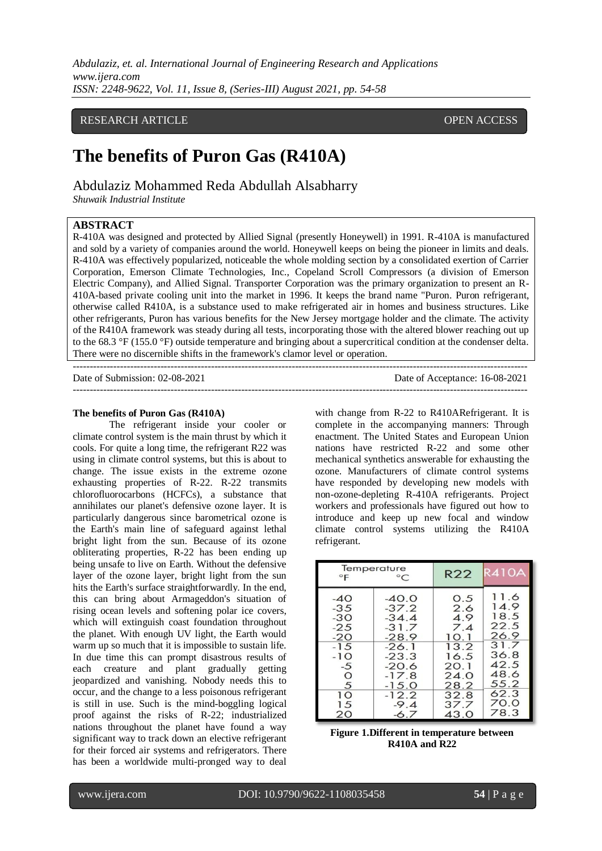*Abdulaziz, et. al. International Journal of Engineering Research and Applications www.ijera.com ISSN: 2248-9622, Vol. 11, Issue 8, (Series-III) August 2021, pp. 54-58*

## RESEARCH ARTICLE **CONSERVERS** OPEN ACCESS

# **The benefits of Puron Gas (R410A)**

Abdulaziz Mohammed Reda Abdullah Alsabharry

*Shuwaik Industrial Institute*

### **ABSTRACT**

R-410A was designed and protected by Allied Signal (presently Honeywell) in 1991. R-410A is manufactured and sold by a variety of companies around the world. Honeywell keeps on being the pioneer in limits and deals. R-410A was effectively popularized, noticeable the whole molding section by a consolidated exertion of Carrier Corporation, Emerson Climate Technologies, Inc., Copeland Scroll Compressors (a division of Emerson Electric Company), and Allied Signal. Transporter Corporation was the primary organization to present an R-410A-based private cooling unit into the market in 1996. It keeps the brand name "Puron. Puron refrigerant, otherwise called R410A, is a substance used to make refrigerated air in homes and business structures. Like other refrigerants, Puron has various benefits for the New Jersey mortgage holder and the climate. The activity of the R410A framework was steady during all tests, incorporating those with the altered blower reaching out up to the 68.3 °F (155.0 °F) outside temperature and bringing about a supercritical condition at the condenser delta. There were no discernible shifts in the framework's clamor level or operation.

---------------------------------------------------------------------------------------------------------------------------------------

---------------------------------------------------------------------------------------------------------------------------------------

Date of Submission: 02-08-2021 Date of Acceptance: 16-08-2021

#### **The benefits of Puron Gas (R410A)**

The refrigerant inside your cooler or climate control system is the main thrust by which it cools. For quite a long time, the refrigerant R22 was using in climate control systems, but this is about to change. The issue exists in the extreme ozone exhausting properties of R-22. R-22 transmits chlorofluorocarbons (HCFCs), a substance that annihilates our planet's defensive ozone layer. It is particularly dangerous since barometrical ozone is the Earth's main line of safeguard against lethal bright light from the sun. Because of its ozone obliterating properties, R-22 has been ending up being unsafe to live on Earth. Without the defensive layer of the ozone layer, bright light from the sun hits the Earth's surface straightforwardly. In the end, this can bring about Armageddon's situation of rising ocean levels and softening polar ice covers, which will extinguish coast foundation throughout the planet. With enough UV light, the Earth would warm up so much that it is impossible to sustain life. In due time this can prompt disastrous results of each creature and plant gradually getting jeopardized and vanishing. Nobody needs this to occur, and the change to a less poisonous refrigerant is still in use. Such is the mind-boggling logical proof against the risks of R-22; industrialized nations throughout the planet have found a way significant way to track down an elective refrigerant for their forced air systems and refrigerators. There has been a worldwide multi-pronged way to deal with change from R-22 to R410ARefrigerant. It is complete in the accompanying manners: Through enactment. The United States and European Union nations have restricted R-22 and some other mechanical synthetics answerable for exhausting the ozone. Manufacturers of climate control systems have responded by developing new models with non-ozone-depleting R-410A refrigerants. Project workers and professionals have figured out how to introduce and keep up new focal and window climate control systems utilizing the R410A refrigerant.

| Temperature<br>$\mathsf{P}$ | $^{\circ}C$ | R22  | R410A |
|-----------------------------|-------------|------|-------|
| $-40$                       | $-40.0$     | 0.5  | 11.6  |
| $-35$                       | $-37.2$     | 2.6  | 14.9  |
| $-30$                       | $-34.4$     | 4.9  | 18.5  |
| $-25$                       | $-31.7$     | 7.4  | 22.5  |
| $-20$                       | $-28.9$     | 10.1 | 26.9  |
| $-15$                       | $-26.1$     | 13.2 | 31.7  |
| $-10$                       | $-23.3$     | 16.5 | 36.8  |
| -5                          | $-20.6$     | 20.1 | 42.5  |
| $\circ$                     | $-17.8$     | 24.0 | 48.6  |
| 5                           | $-15.0$     | 28.2 | 55.2  |
| 1 <sup>O</sup>              | $-12.2$     | 32.8 | 62.3  |
| 15                          | $-9.4$      | 37.7 | 70.0  |
| 20                          | $-6.7$      | 43.O | 78.3  |

| <b>Figure 1.Different in temperature between</b> |  |
|--------------------------------------------------|--|
| $R410A$ and $R22$                                |  |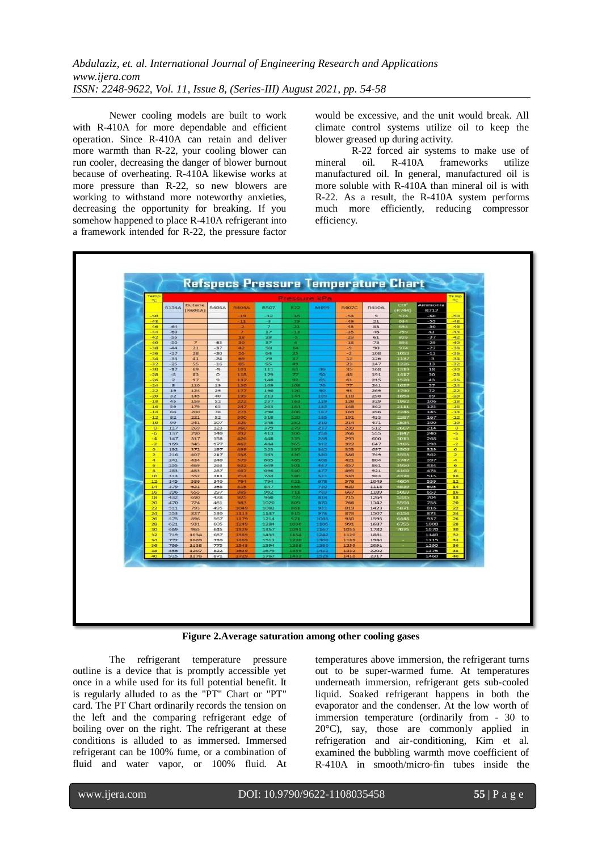*Abdulaziz, et. al. International Journal of Engineering Research and Applications www.ijera.com ISSN: 2248-9622, Vol. 11, Issue 8, (Series-III) August 2021, pp. 54-58*

Newer cooling models are built to work with R-410A for more dependable and efficient operation. Since R-410A can retain and deliver more warmth than R-22, your cooling blower can run cooler, decreasing the danger of blower burnout because of overheating. R-410A likewise works at more pressure than R-22, so new blowers are working to withstand more noteworthy anxieties, decreasing the opportunity for breaking. If you somehow happened to place R-410A refrigerant into a framework intended for R-22, the pressure factor would be excessive, and the unit would break. All climate control systems utilize oil to keep the blower greased up during activity.

R-22 forced air systems to make use of mineral oil. R-410A frameworks utilize manufactured oil. In general, manufactured oil is more soluble with R-410A than mineral oil is with R-22. As a result, the R-410A system performs much more efficiently, reducing compressor efficiency.



**Figure 2.Average saturation among other cooling gases**

The refrigerant temperature pressure outline is a device that is promptly accessible yet once in a while used for its full potential benefit. It is regularly alluded to as the "PT" Chart or "PT" card. The PT Chart ordinarily records the tension on the left and the comparing refrigerant edge of boiling over on the right. The refrigerant at these conditions is alluded to as immersed. Immersed refrigerant can be 100% fume, or a combination of fluid and water vapor, or 100% fluid. At temperatures above immersion, the refrigerant turns out to be super-warmed fume. At temperatures underneath immersion, refrigerant gets sub-cooled liquid. Soaked refrigerant happens in both the evaporator and the condenser. At the low worth of immersion temperature (ordinarily from - 30 to  $20^{\circ}$ C), say, those are commonly applied in refrigeration and air‐conditioning, Kim et al. examined the bubbling warmth move coefficient of R‐410A in smooth/micro‐fin tubes inside the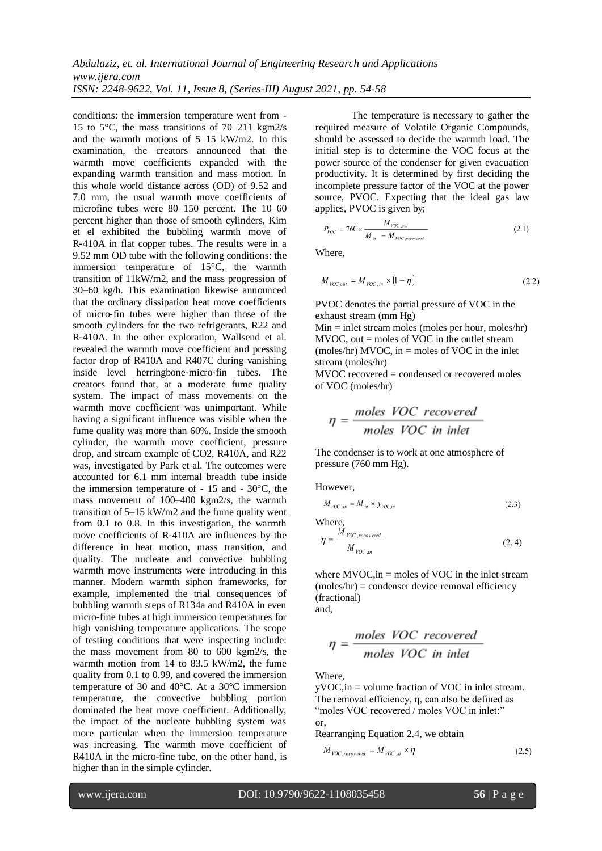conditions: the immersion temperature went from - 15 to 5°C, the mass transitions of 70–211 kgm2/s and the warmth motions of 5–15 kW/m2. In this examination, the creators announced that the warmth move coefficients expanded with the expanding warmth transition and mass motion. In this whole world distance across (OD) of 9.52 and 7.0 mm, the usual warmth move coefficients of microfine tubes were 80–150 percent. The 10–60 percent higher than those of smooth cylinders, Kim et el exhibited the bubbling warmth move of R‐410A in flat copper tubes. The results were in a 9.52 mm OD tube with the following conditions: the immersion temperature of 15°C, the warmth transition of 11kW/m2, and the mass progression of 30–60 kg/h. This examination likewise announced that the ordinary dissipation heat move coefficients of micro‐fin tubes were higher than those of the smooth cylinders for the two refrigerants, R22 and R‐410A. In the other exploration, Wallsend et al. revealed the warmth move coefficient and pressing factor drop of R410A and R407C during vanishing inside level herringbone‐micro‐fin tubes. The creators found that, at a moderate fume quality system. The impact of mass movements on the warmth move coefficient was unimportant. While having a significant influence was visible when the fume quality was more than 60%. Inside the smooth cylinder, the warmth move coefficient, pressure drop, and stream example of CO2, R410A, and R22 was, investigated by Park et al. The outcomes were accounted for 6.1 mm internal breadth tube inside the immersion temperature of - 15 and - 30°C, the mass movement of 100–400 kgm2/s, the warmth transition of 5–15 kW/m2 and the fume quality went from 0.1 to 0.8. In this investigation, the warmth move coefficients of R‐410A are influences by the difference in heat motion, mass transition, and quality. The nucleate and convective bubbling warmth move instruments were introducing in this manner. Modern warmth siphon frameworks, for example, implemented the trial consequences of bubbling warmth steps of R134a and R410A in even micro-fine tubes at high immersion temperatures for high vanishing temperature applications. The scope of testing conditions that were inspecting include: the mass movement from 80 to 600 kgm2/s, the warmth motion from 14 to 83.5 kW/m2, the fume quality from 0.1 to 0.99, and covered the immersion temperature of 30 and 40°C. At a 30°C immersion temperature, the convective bubbling portion dominated the heat move coefficient. Additionally, the impact of the nucleate bubbling system was more particular when the immersion temperature was increasing. The warmth move coefficient of R410A in the micro-fine tube, on the other hand, is higher than in the simple cylinder.

The temperature is necessary to gather the required measure of Volatile Organic Compounds, should be assessed to decide the warmth load. The initial step is to determine the VOC focus at the power source of the condenser for given evacuation productivity. It is determined by first deciding the incomplete pressure factor of the VOC at the power source, PVOC. Expecting that the ideal gas law applies, PVOC is given by;

$$
P_{VOC} = 760 \times \frac{M_{VOC,out}}{M_{in} - M_{VOC,recovered}}
$$
 (2.1)

Where,

$$
M_{VOC,out} = M_{VOC,in} \times (1 - \eta) \tag{2.2}
$$

PVOC denotes the partial pressure of VOC in the exhaust stream (mm Hg)

 $Min = inlet$  stream moles (moles per hour, moles/hr) MVOC, out  $=$  moles of VOC in the outlet stream (moles/hr) MVOC, in  $=$  moles of VOC in the inlet stream (moles/hr)

MVOC recovered = condensed or recovered moles of VOC (moles/hr)

$$
\eta = \frac{moles\ VOC\ recovered}{moles\ VOC\ in\ inlet}
$$

The condenser is to work at one atmosphere of pressure (760 mm Hg).

However,

$$
M_{VOC,in} = M_{in} \times y_{VOC,in}
$$
\n(2.3)

Where,

$$
\eta = \frac{M_{VOC, rev\,ered}}{M_{VOC,in}}\tag{2.4}
$$

where  $MVOC$ , in = moles of VOC in the inlet stream  $(moles/hr) = condenser$  device removal efficiency (fractional)

and,

$$
\eta = \frac{moles\ VOC\ recovered}{moles\ VOC\ in\ inlet}
$$

Where,

yVOC,in = volume fraction of VOC in inlet stream. The removal efficiency, η, can also be defined as "moles VOC recovered / moles VOC in inlet:" or,

Rearranging Equation 2.4, we obtain

$$
M_{VOC, recovered} = M_{VOC,in} \times \eta
$$
 (2.5)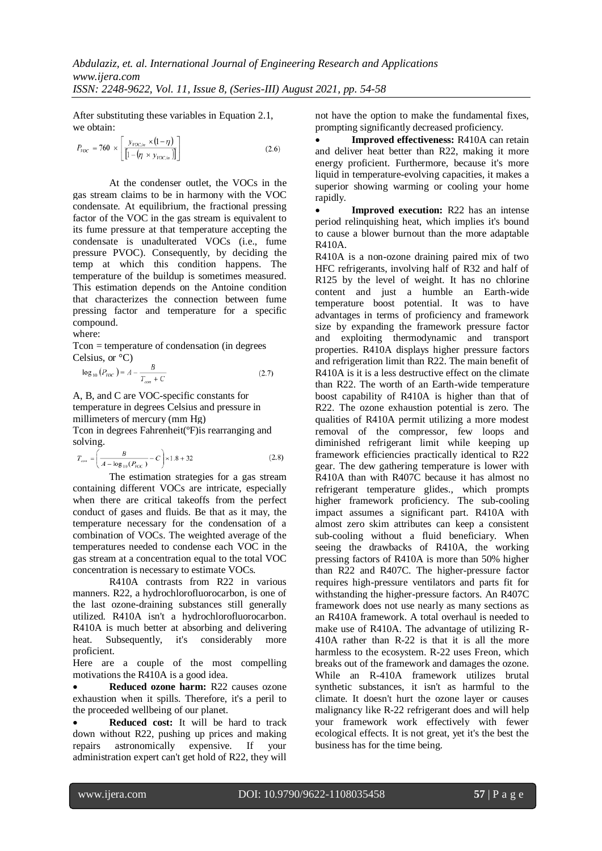After substituting these variables in Equation 2.1, we obtain:

$$
P_{\text{VOC}} = 760 \times \left[ \frac{y_{\text{VOC},in} \times (1-\eta)}{\left[1 - (\eta \times y_{\text{VOC},in})\right]}\right]
$$
(2.6)

At the condenser outlet, the VOCs in the gas stream claims to be in harmony with the VOC condensate. At equilibrium, the fractional pressing factor of the VOC in the gas stream is equivalent to its fume pressure at that temperature accepting the condensate is unadulterated VOCs (i.e., fume pressure PVOC). Consequently, by deciding the temp at which this condition happens. The temperature of the buildup is sometimes measured. This estimation depends on the Antoine condition that characterizes the connection between fume pressing factor and temperature for a specific compound.

where:

Tcon = temperature of condensation (in degrees Celsius, or °C)

$$
\log_{10} (P_{VOC}) = A - \frac{B}{T_{con} + C}
$$
 (2.7)

A, B, and C are VOC-specific constants for temperature in degrees Celsius and pressure in millimeters of mercury (mm Hg)

Tcon in degrees Fahrenheit(ºF)is rearranging and solving.

$$
T_{con} = \left(\frac{B}{A - \log_{10}(P_{VOC})} - C\right) \times 1.8 + 32\tag{2.8}
$$

The estimation strategies for a gas stream containing different VOCs are intricate, especially when there are critical takeoffs from the perfect conduct of gases and fluids. Be that as it may, the temperature necessary for the condensation of a combination of VOCs. The weighted average of the temperatures needed to condense each VOC in the gas stream at a concentration equal to the total VOC concentration is necessary to estimate VOCs.

R410A contrasts from R22 in various manners. R22, a hydrochlorofluorocarbon, is one of the last ozone-draining substances still generally utilized. R410A isn't a hydrochlorofluorocarbon. R410A is much better at absorbing and delivering heat. Subsequently, it's considerably more proficient.

Here are a couple of the most compelling motivations the R410A is a good idea.

**Reduced ozone harm:** R22 causes ozone exhaustion when it spills. Therefore, it's a peril to the proceeded wellbeing of our planet.

 **Reduced cost:** It will be hard to track down without R22, pushing up prices and making repairs astronomically expensive. If your administration expert can't get hold of R22, they will not have the option to make the fundamental fixes, prompting significantly decreased proficiency.

 **Improved effectiveness:** R410A can retain and deliver heat better than R22, making it more energy proficient. Furthermore, because it's more liquid in temperature-evolving capacities, it makes a superior showing warming or cooling your home rapidly.

 **Improved execution:** R22 has an intense period relinquishing heat, which implies it's bound to cause a blower burnout than the more adaptable R410A.

R410A is a non-ozone draining paired mix of two HFC refrigerants, involving half of R32 and half of R125 by the level of weight. It has no chlorine content and just a humble an Earth-wide temperature boost potential. It was to have advantages in terms of proficiency and framework size by expanding the framework pressure factor and exploiting thermodynamic and transport properties. R410A displays higher pressure factors and refrigeration limit than R22. The main benefit of R410A is it is a less destructive effect on the climate than R22. The worth of an Earth-wide temperature boost capability of R410A is higher than that of R22. The ozone exhaustion potential is zero. The qualities of R410A permit utilizing a more modest removal of the compressor, few loops and diminished refrigerant limit while keeping up framework efficiencies practically identical to R22 gear. The dew gathering temperature is lower with R410A than with R407C because it has almost no refrigerant temperature glides., which prompts higher framework proficiency. The sub-cooling impact assumes a significant part. R410A with almost zero skim attributes can keep a consistent sub-cooling without a fluid beneficiary. When seeing the drawbacks of R410A, the working pressing factors of R410A is more than 50% higher than R22 and R407C. The higher-pressure factor requires high-pressure ventilators and parts fit for withstanding the higher-pressure factors. An R407C framework does not use nearly as many sections as an R410A framework. A total overhaul is needed to make use of R410A. The advantage of utilizing R-410A rather than R-22 is that it is all the more harmless to the ecosystem. R-22 uses Freon, which breaks out of the framework and damages the ozone. While an R-410A framework utilizes brutal synthetic substances, it isn't as harmful to the climate. It doesn't hurt the ozone layer or causes malignancy like R-22 refrigerant does and will help your framework work effectively with fewer ecological effects. It is not great, yet it's the best the business has for the time being.